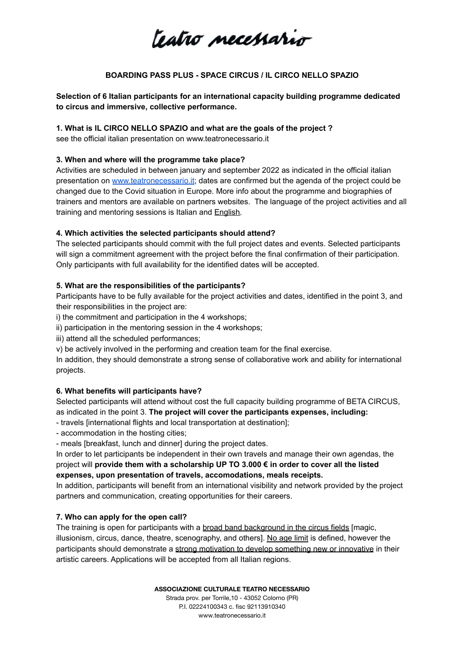teatro necessario

# **BOARDING PASS PLUS - SPACE CIRCUS / IL CIRCO NELLO SPAZIO**

**Selection of 6 Italian participants for an international capacity building programme dedicated to circus and immersive, collective performance.**

## **1. What is IL CIRCO NELLO SPAZIO and what are the goals of the project ?**

see the official italian presentation on www.teatronecessario.it

## **3. When and where will the programme take place?**

Activities are scheduled in between january and september 2022 as indicated in the official italian presentation on [www.teatronecessario.it](http://www.teatronecessario.it); dates are confirmed but the agenda of the project could be changed due to the Covid situation in Europe. More info about the programme and biographies of trainers and mentors are available on partners websites. The language of the project activities and all training and mentoring sessions is Italian and English.

# **4. Which activities the selected participants should attend?**

The selected participants should commit with the full project dates and events. Selected participants will sign a commitment agreement with the project before the final confirmation of their participation. Only participants with full availability for the identified dates will be accepted.

## **5. What are the responsibilities of the participants?**

Participants have to be fully available for the project activities and dates, identified in the point 3, and their responsibilities in the project are:

i) the commitment and participation in the 4 workshops;

ii) participation in the mentoring session in the 4 workshops;

iii) attend all the scheduled performances;

v) be actively involved in the performing and creation team for the final exercise.

In addition, they should demonstrate a strong sense of collaborative work and ability for international projects.

# **6. What benefits will participants have?**

Selected participants will attend without cost the full capacity building programme of BETA CIRCUS, as indicated in the point 3. **The project will cover the participants expenses, including:**

- travels [international flights and local transportation at destination];

- accommodation in the hosting cities;

- meals [breakfast, lunch and dinner] during the project dates.

In order to let participants be independent in their own travels and manage their own agendas, the project will **provide them with a scholarship UP TO 3.000 € in order to cover all the listed expenses, upon presentation of travels, accomodations, meals receipts.**

In addition, participants will benefit from an international visibility and network provided by the project partners and communication, creating opportunities for their careers.

# **7. Who can apply for the open call?**

The training is open for participants with a broad band background in the circus fields [magic, illusionism, circus, dance, theatre, scenography, and others]. No age limit is defined, however the participants should demonstrate a strong motivation to develop something new or innovative in their artistic careers. Applications will be accepted from all Italian regions.

**ASSOCIAZIONE CULTURALE TEATRO NECESSARIO**

Strada prov. per Torrile,10 - 43052 Colorno (PR) P.I. 02224100343 c. fisc 92113910340 www.teatronecessario.it